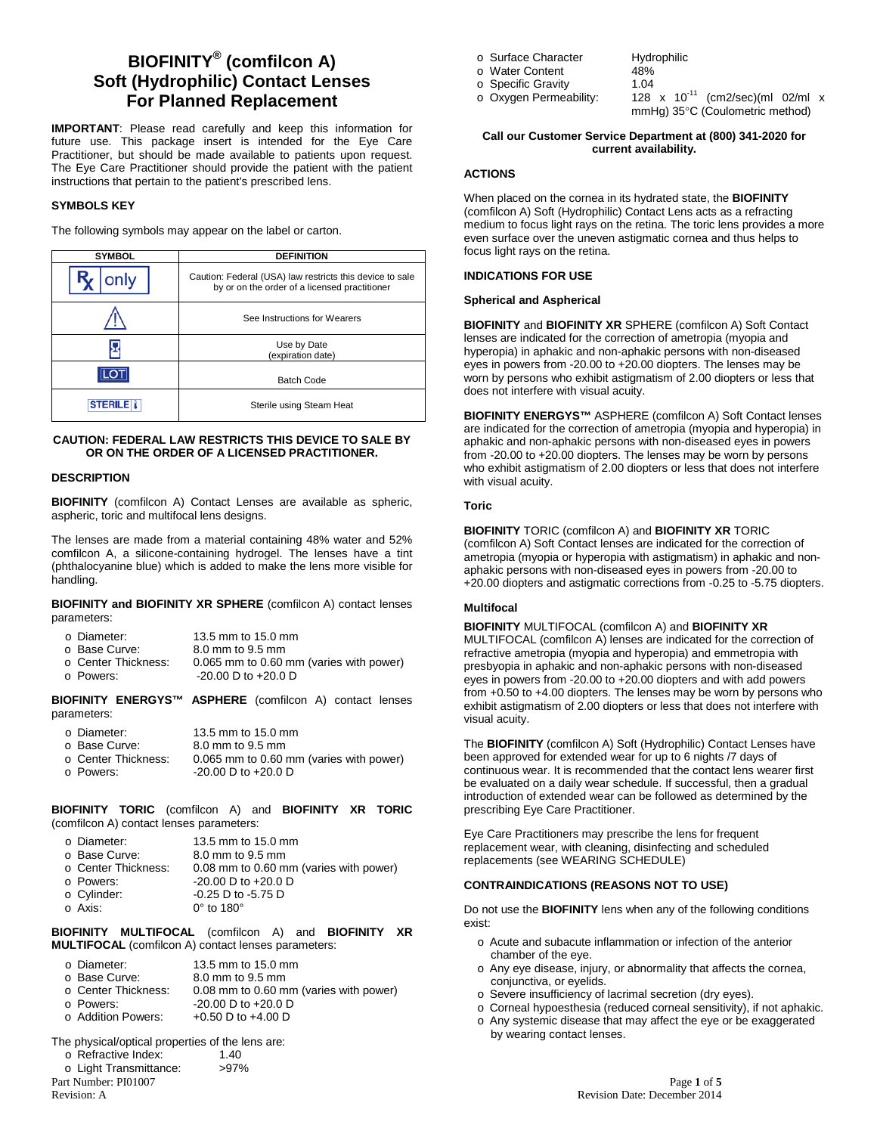# **BIOFINITY® (comfilcon A) Soft (Hydrophilic) Contact Lenses For Planned Replacement**

**IMPORTANT**: Please read carefully and keep this information for future use. This package insert is intended for the Eye Care Practitioner, but should be made available to patients upon request. The Eye Care Practitioner should provide the patient with the patient instructions that pertain to the patient's prescribed lens.

### **SYMBOLS KEY**

The following symbols may appear on the label or carton.

| <b>SYMBOL</b>  | <b>DEFINITION</b>                                                                                         |  |
|----------------|-----------------------------------------------------------------------------------------------------------|--|
| only           | Caution: Federal (USA) law restricts this device to sale<br>by or on the order of a licensed practitioner |  |
|                | See Instructions for Wearers                                                                              |  |
|                | Use by Date<br>(expiration date)                                                                          |  |
|                | <b>Batch Code</b>                                                                                         |  |
| <b>STERILE</b> | Sterile using Steam Heat                                                                                  |  |

### **CAUTION: FEDERAL LAW RESTRICTS THIS DEVICE TO SALE BY OR ON THE ORDER OF A LICENSED PRACTITIONER.**

#### **DESCRIPTION**

**BIOFINITY** (comfilcon A) Contact Lenses are available as spheric, aspheric, toric and multifocal lens designs.

The lenses are made from a material containing 48% water and 52% comfilcon A, a silicone-containing hydrogel. The lenses have a tint (phthalocyanine blue) which is added to make the lens more visible for handling.

**BIOFINITY and BIOFINITY XR SPHERE** (comfilcon A) contact lenses parameters:

| o Diameter:         | 13.5 mm to 15.0 mm                      |
|---------------------|-----------------------------------------|
| ○ Base Curve:       | 8.0 mm to 9.5 mm                        |
| ⊙ Center Thickness: | 0.065 mm to 0.60 mm (varies with power) |
| o Powers:           | $-20.00$ D to $+20.0$ D                 |

**BIOFINITY ENERGYS™ ASPHERE** (comfilcon A) contact lenses parameters:

| o Diameter:                      | 13.5 mm to 15.0 mm                                                 |
|----------------------------------|--------------------------------------------------------------------|
| ○ Base Curve:                    | 8.0 mm to 9.5 mm                                                   |
| ○ Center Thickness:<br>o Powers: | 0.065 mm to 0.60 mm (varies with power)<br>$-20.00$ D to $+20.0$ D |

#### **BIOFINITY TORIC** (comfilcon A) and **BIOFINITY XR TORIC**  (comfilcon A) contact lenses parameters:

| o Diameter:<br>o Base Curve: | 13.5 mm to 15.0 mm<br>8.0 mm to 9.5 mm |
|------------------------------|----------------------------------------|
| ○ Center Thickness:          | 0.08 mm to 0.60 mm (varies with power) |
| o Powers:                    | $-20.00$ D to $+20.0$ D                |
| o Cylinder:                  | $-0.25$ D to $-5.75$ D                 |
| o Axis:                      | $0^\circ$ to 180 $^\circ$              |

**BIOFINITY MULTIFOCAL** (comfilcon A) and **BIOFINITY XR MULTIFOCAL** (comfilcon A) contact lenses parameters:

| o Diameter:       | 13.5 mm to 15.0 mm |
|-------------------|--------------------|
| $\sim$ Poss Curve | 0.0mm to 0.5mm     |

- o Base Curve: 8.0 mm to 9.5 mm<br>
o Center Thickness: 0.08 mm to 0.60 m  $\circ$  Center Thickness: 0.08 mm to 0.60 mm (varies with power)<br> $\circ$  Powers: -20.00 D to +20.0 D
- $\circ$  Powers:  $\circ$  -20.00 D to +20.0 D<br> $\circ$  Addition Powers:  $\circ$  +0.50 D to +4.00 D
- $+0.50$  D to  $+4.00$  D
- The physical/optical properties of the lens are:<br>  $\circ$  Refractive Index: 1.40 o Refractive Index: 1.40<br>
o Light Transmittance: >97%  $\circ$  Light Transmittance:
- 
- o Surface Character Hydrophilic<br>
o Water Content 48%
- o Water Content 48%<br>
o Specific Gravity 1.04
- o Specific Gravity<br>1.0 Oxygen Permeability:

128  $x$  10<sup>-11</sup> (cm2/sec)(ml 02/ml  $x$ mmHg) 35°C (Coulometric method)

### **Call our Customer Service Department at (800) 341-2020 for current availability.**

## **ACTIONS**

When placed on the cornea in its hydrated state, the **BIOFINITY** (comfilcon A) Soft (Hydrophilic) Contact Lens acts as a refracting medium to focus light rays on the retina. The toric lens provides a more even surface over the uneven astigmatic cornea and thus helps to focus light rays on the retina.

# **INDICATIONS FOR USE**

# **Spherical and Aspherical**

**BIOFINITY** and **BIOFINITY XR** SPHERE (comfilcon A) Soft Contact lenses are indicated for the correction of ametropia (myopia and hyperopia) in aphakic and non-aphakic persons with non-diseased eyes in powers from -20.00 to +20.00 diopters. The lenses may be worn by persons who exhibit astigmatism of 2.00 diopters or less that does not interfere with visual acuity.

**BIOFINITY ENERGYS™** ASPHERE (comfilcon A) Soft Contact lenses are indicated for the correction of ametropia (myopia and hyperopia) in aphakic and non-aphakic persons with non-diseased eyes in powers from -20.00 to +20.00 diopters. The lenses may be worn by persons who exhibit astigmatism of 2.00 diopters or less that does not interfere with visual acuity.

### **Toric**

**BIOFINITY** TORIC (comfilcon A) and **BIOFINITY XR** TORIC (comfilcon A) Soft Contact lenses are indicated for the correction of ametropia (myopia or hyperopia with astigmatism) in aphakic and nonaphakic persons with non-diseased eyes in powers from -20.00 to +20.00 diopters and astigmatic corrections from -0.25 to -5.75 diopters.

### **Multifocal**

# **BIOFINITY** MULTIFOCAL (comfilcon A) and **BIOFINITY XR**

MULTIFOCAL (comfilcon A) lenses are indicated for the correction of refractive ametropia (myopia and hyperopia) and emmetropia with presbyopia in aphakic and non-aphakic persons with non-diseased eyes in powers from -20.00 to +20.00 diopters and with add powers from +0.50 to +4.00 diopters. The lenses may be worn by persons who exhibit astigmatism of 2.00 diopters or less that does not interfere with visual acuity.

The **BIOFINITY** (comfilcon A) Soft (Hydrophilic) Contact Lenses have been approved for extended wear for up to 6 nights /7 days of continuous wear. It is recommended that the contact lens wearer first be evaluated on a daily wear schedule. If successful, then a gradual introduction of extended wear can be followed as determined by the prescribing Eye Care Practitioner.

Eye Care Practitioners may prescribe the lens for frequent replacement wear, with cleaning, disinfecting and scheduled replacements (see WEARING SCHEDULE)

# **CONTRAINDICATIONS (REASONS NOT TO USE)**

Do not use the **BIOFINITY** lens when any of the following conditions exist:

- o Acute and subacute inflammation or infection of the anterior chamber of the eye.
- o Any eye disease, injury, or abnormality that affects the cornea, conjunctiva, or eyelids.
- o Severe insufficiency of lacrimal secretion (dry eyes).
- o Corneal hypoesthesia (reduced corneal sensitivity), if not aphakic. o Any systemic disease that may affect the eye or be exaggerated by wearing contact lenses.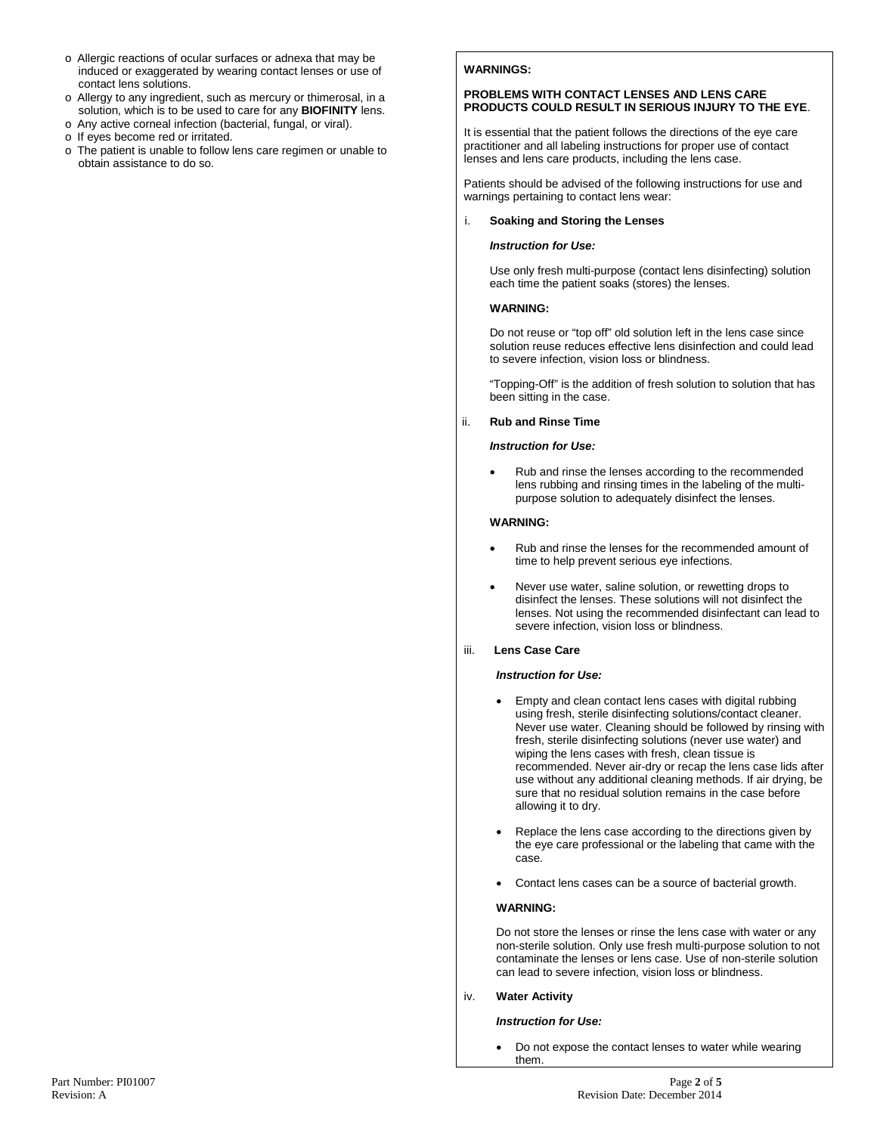- o Allergic reactions of ocular surfaces or adnexa that may be induced or exaggerated by wearing contact lenses or use of contact lens solutions.
- o Allergy to any ingredient, such as mercury or thimerosal, in a solution, which is to be used to care for any **BIOFINITY** lens.
- o Any active corneal infection (bacterial, fungal, or viral).
- o If eyes become red or irritated.
- o The patient is unable to follow lens care regimen or unable to obtain assistance to do so.

## **WARNINGS:**

#### **PROBLEMS WITH CONTACT LENSES AND LENS CARE PRODUCTS COULD RESULT IN SERIOUS INJURY TO THE EYE**.

It is essential that the patient follows the directions of the eye care practitioner and all labeling instructions for proper use of contact lenses and lens care products, including the lens case.

Patients should be advised of the following instructions for use and warnings pertaining to contact lens wear:

#### i. **Soaking and Storing the Lenses**

#### *Instruction for Use:*

Use only fresh multi-purpose (contact lens disinfecting) solution each time the patient soaks (stores) the lenses.

#### **WARNING:**

Do not reuse or "top off" old solution left in the lens case since solution reuse reduces effective lens disinfection and could lead to severe infection, vision loss or blindness.

"Topping-Off" is the addition of fresh solution to solution that has been sitting in the case.

#### ii. **Rub and Rinse Time**

#### *Instruction for Use:*

• Rub and rinse the lenses according to the recommended lens rubbing and rinsing times in the labeling of the multipurpose solution to adequately disinfect the lenses.

### **WARNING:**

- Rub and rinse the lenses for the recommended amount of time to help prevent serious eye infections.
- Never use water, saline solution, or rewetting drops to disinfect the lenses. These solutions will not disinfect the lenses. Not using the recommended disinfectant can lead to severe infection, vision loss or blindness.

### iii. **Lens Case Care**

#### *Instruction for Use:*

- Empty and clean contact lens cases with digital rubbing using fresh, sterile disinfecting solutions/contact cleaner. Never use water. Cleaning should be followed by rinsing with fresh, sterile disinfecting solutions (never use water) and wiping the lens cases with fresh, clean tissue is recommended. Never air-dry or recap the lens case lids after use without any additional cleaning methods. If air drying, be sure that no residual solution remains in the case before allowing it to dry.
- Replace the lens case according to the directions given by the eye care professional or the labeling that came with the case.
- Contact lens cases can be a source of bacterial growth.

### **WARNING:**

Do not store the lenses or rinse the lens case with water or any non-sterile solution. Only use fresh multi-purpose solution to not contaminate the lenses or lens case. Use of non-sterile solution can lead to severe infection, vision loss or blindness.

#### iv. **Water Activity**

#### *Instruction for Use:*

• Do not expose the contact lenses to water while wearing them.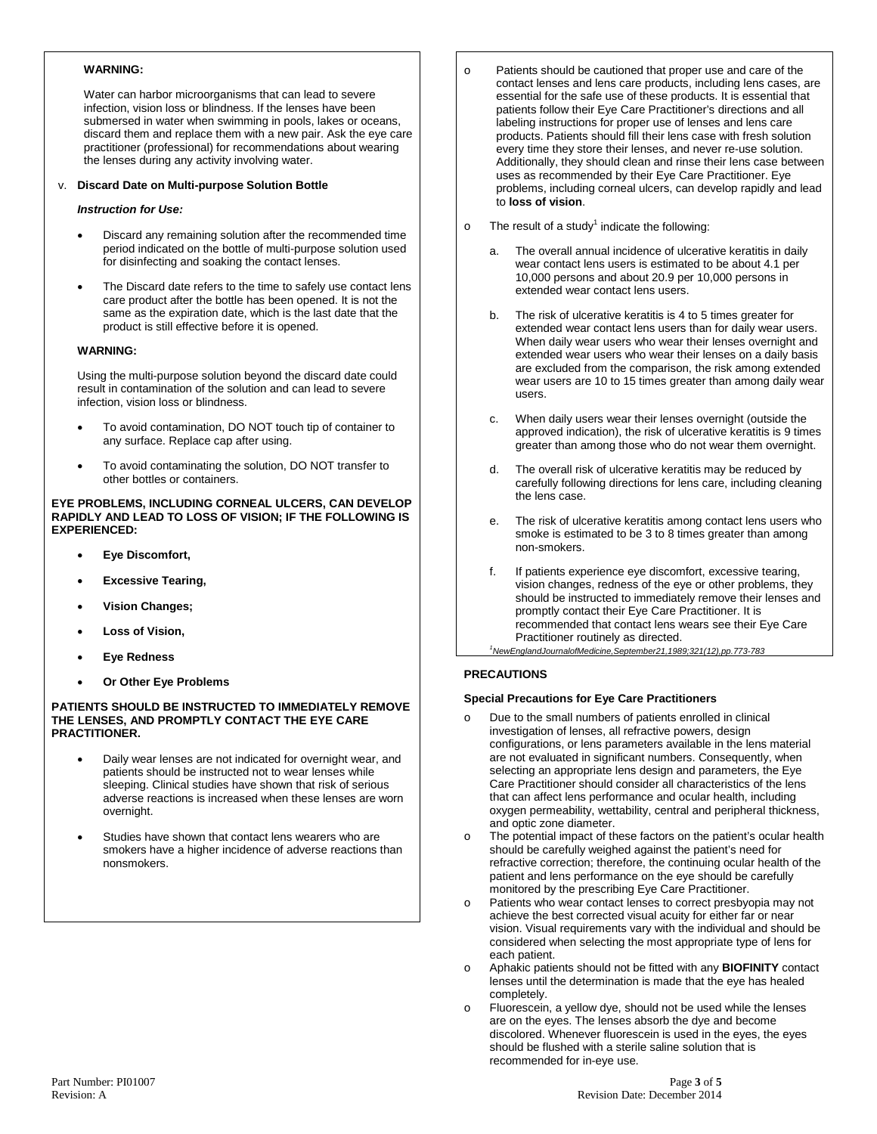### **WARNING:**

Water can harbor microorganisms that can lead to severe infection, vision loss or blindness. If the lenses have been submersed in water when swimming in pools, lakes or oceans, discard them and replace them with a new pair. Ask the eye care practitioner (professional) for recommendations about wearing the lenses during any activity involving water.

### v. **Discard Date on Multi-purpose Solution Bottle**

### *Instruction for Use:*

- Discard any remaining solution after the recommended time period indicated on the bottle of multi-purpose solution used for disinfecting and soaking the contact lenses.
- The Discard date refers to the time to safely use contact lens care product after the bottle has been opened. It is not the same as the expiration date, which is the last date that the product is still effective before it is opened.

#### **WARNING:**

Using the multi-purpose solution beyond the discard date could result in contamination of the solution and can lead to severe infection, vision loss or blindness.

- To avoid contamination, DO NOT touch tip of container to any surface. Replace cap after using.
- To avoid contaminating the solution, DO NOT transfer to other bottles or containers.

**EYE PROBLEMS, INCLUDING CORNEAL ULCERS, CAN DEVELOP RAPIDLY AND LEAD TO LOSS OF VISION; IF THE FOLLOWING IS EXPERIENCED:**

- **Eye Discomfort,**
- **Excessive Tearing,**
- **Vision Changes;**
- **Loss of Vision,**
- **Eye Redness**
- **Or Other Eye Problems**

#### **PATIENTS SHOULD BE INSTRUCTED TO IMMEDIATELY REMOVE THE LENSES, AND PROMPTLY CONTACT THE EYE CARE PRACTITIONER.**

- Daily wear lenses are not indicated for overnight wear, and patients should be instructed not to wear lenses while sleeping. Clinical studies have shown that risk of serious adverse reactions is increased when these lenses are worn overnight.
- Studies have shown that contact lens wearers who are smokers have a higher incidence of adverse reactions than nonsmokers.
- o Patients should be cautioned that proper use and care of the contact lenses and lens care products, including lens cases, are essential for the safe use of these products. It is essential that patients follow their Eye Care Practitioner's directions and all labeling instructions for proper use of lenses and lens care products. Patients should fill their lens case with fresh solution every time they store their lenses, and never re-use solution. Additionally, they should clean and rinse their lens case between uses as recommended by their Eye Care Practitioner. Eye problems, including corneal ulcers, can develop rapidly and lead to **loss of vision**.
- $\circ$  The result of a study<sup>1</sup> indicate the following:
	- a. The overall annual incidence of ulcerative keratitis in daily wear contact lens users is estimated to be about 4.1 per 10,000 persons and about 20.9 per 10,000 persons in extended wear contact lens users.
	- b. The risk of ulcerative keratitis is 4 to 5 times greater for extended wear contact lens users than for daily wear users. When daily wear users who wear their lenses overnight and extended wear users who wear their lenses on a daily basis are excluded from the comparison, the risk among extended wear users are 10 to 15 times greater than among daily wear users.
	- When daily users wear their lenses overnight (outside the approved indication), the risk of ulcerative keratitis is 9 times greater than among those who do not wear them overnight.
	- d. The overall risk of ulcerative keratitis may be reduced by carefully following directions for lens care, including cleaning the lens case.
	- The risk of ulcerative keratitis among contact lens users who smoke is estimated to be 3 to 8 times greater than among non-smokers.
	- f. If patients experience eye discomfort, excessive tearing, vision changes, redness of the eye or other problems, they should be instructed to immediately remove their lenses and promptly contact their Eye Care Practitioner. It is recommended that contact lens wears see their Eye Care Practitioner routinely as directed.

#### *1 NewEnglandJournalofMedicine,September21,1989;321(12),pp.773-783*

### **PRECAUTIONS**

### **Special Precautions for Eye Care Practitioners**

- o Due to the small numbers of patients enrolled in clinical investigation of lenses, all refractive powers, design configurations, or lens parameters available in the lens material are not evaluated in significant numbers. Consequently, when selecting an appropriate lens design and parameters, the Eye Care Practitioner should consider all characteristics of the lens that can affect lens performance and ocular health, including oxygen permeability, wettability, central and peripheral thickness, and optic zone diameter.
- o The potential impact of these factors on the patient's ocular health should be carefully weighed against the patient's need for refractive correction; therefore, the continuing ocular health of the patient and lens performance on the eye should be carefully monitored by the prescribing Eye Care Practitioner.
- o Patients who wear contact lenses to correct presbyopia may not achieve the best corrected visual acuity for either far or near vision. Visual requirements vary with the individual and should be considered when selecting the most appropriate type of lens for each patient.
- o Aphakic patients should not be fitted with any **BIOFINITY** contact lenses until the determination is made that the eye has healed completely.
- o Fluorescein, a yellow dye, should not be used while the lenses are on the eyes. The lenses absorb the dye and become discolored. Whenever fluorescein is used in the eyes, the eyes should be flushed with a sterile saline solution that is recommended for in-eye use.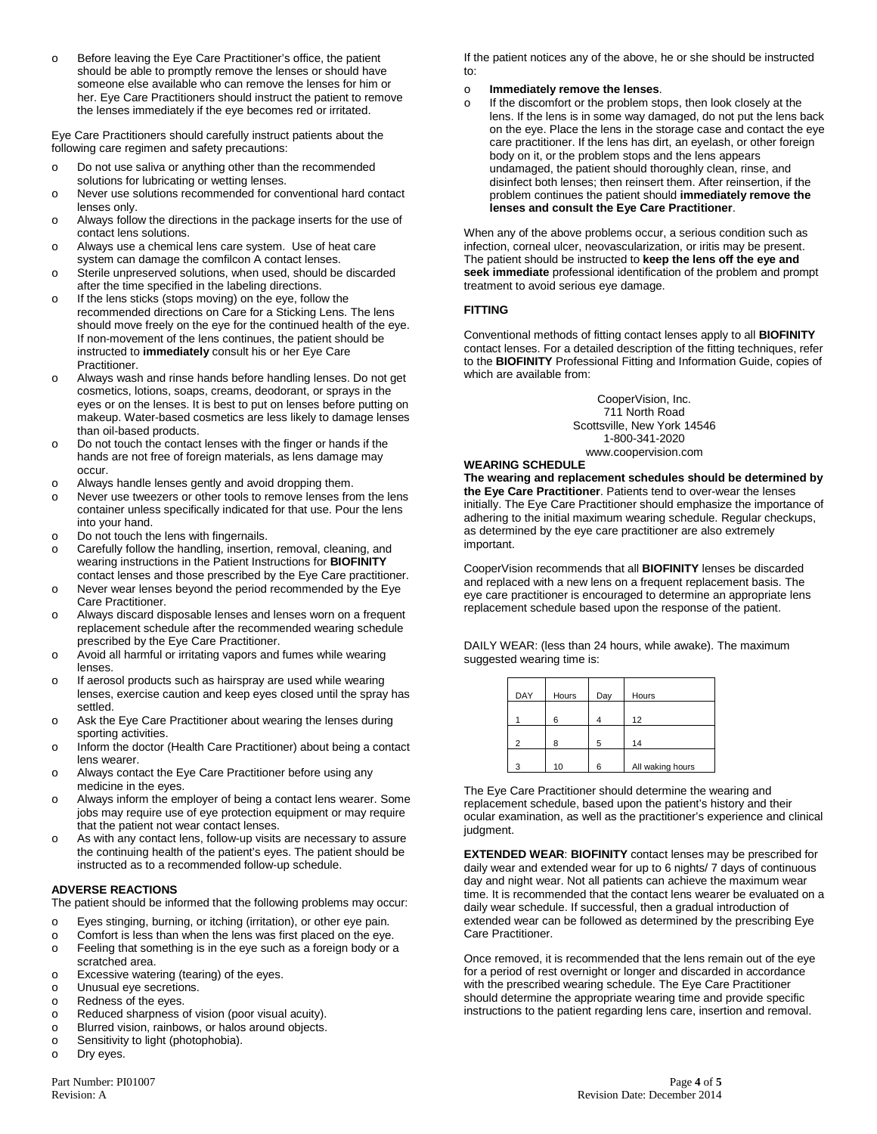o Before leaving the Eye Care Practitioner's office, the patient should be able to promptly remove the lenses or should have someone else available who can remove the lenses for him or her. Eye Care Practitioners should instruct the patient to remove the lenses immediately if the eye becomes red or irritated.

Eye Care Practitioners should carefully instruct patients about the following care regimen and safety precautions:

- o Do not use saliva or anything other than the recommended solutions for lubricating or wetting lenses.
- o Never use solutions recommended for conventional hard contact lenses only.
- o Always follow the directions in the package inserts for the use of contact lens solutions.
- o Always use a chemical lens care system. Use of heat care system can damage the comfilcon A contact lenses.
- o Sterile unpreserved solutions, when used, should be discarded after the time specified in the labeling directions.
- o If the lens sticks (stops moving) on the eye, follow the recommended directions on Care for a Sticking Lens. The lens should move freely on the eye for the continued health of the eye. If non-movement of the lens continues, the patient should be instructed to **immediately** consult his or her Eye Care Practitioner.
- o Always wash and rinse hands before handling lenses. Do not get cosmetics, lotions, soaps, creams, deodorant, or sprays in the eyes or on the lenses. It is best to put on lenses before putting on makeup. Water-based cosmetics are less likely to damage lenses than oil-based products.
- o Do not touch the contact lenses with the finger or hands if the hands are not free of foreign materials, as lens damage may occur.
- o Always handle lenses gently and avoid dropping them.
- o Never use tweezers or other tools to remove lenses from the lens container unless specifically indicated for that use. Pour the lens into your hand.
- o Do not touch the lens with fingernails.
- o Carefully follow the handling, insertion, removal, cleaning, and wearing instructions in the Patient Instructions for **BIOFINITY** contact lenses and those prescribed by the Eye Care practitioner.
- o Never wear lenses beyond the period recommended by the Eye Care Practitioner.
- o Always discard disposable lenses and lenses worn on a frequent replacement schedule after the recommended wearing schedule prescribed by the Eye Care Practitioner.
- o Avoid all harmful or irritating vapors and fumes while wearing lenses.
- o If aerosol products such as hairspray are used while wearing lenses, exercise caution and keep eyes closed until the spray has settled.
- o Ask the Eye Care Practitioner about wearing the lenses during sporting activities.
- o Inform the doctor (Health Care Practitioner) about being a contact lens wearer.
- o Always contact the Eye Care Practitioner before using any medicine in the eyes.
- o Always inform the employer of being a contact lens wearer. Some jobs may require use of eye protection equipment or may require that the patient not wear contact lenses.
- o As with any contact lens, follow-up visits are necessary to assure the continuing health of the patient's eyes. The patient should be instructed as to a recommended follow-up schedule.

# **ADVERSE REACTIONS**

The patient should be informed that the following problems may occur:

- o Eyes stinging, burning, or itching (irritation), or other eye pain.
- o Comfort is less than when the lens was first placed on the eye.
- o Feeling that something is in the eye such as a foreign body or a scratched area.
- o Excessive watering (tearing) of the eyes.
- o Unusual eye secretions.
- $\circ$  Redness of the eyes.<br> $\circ$  Reduced sharpness of
- o Reduced sharpness of vision (poor visual acuity).<br>
Blurred vision, rainbows, or halos around objects.
- Blurred vision, rainbows, or halos around objects.
- o Sensitivity to light (photophobia).<br>
o Drv eves.
- Dry eyes.

If the patient notices any of the above, he or she should be instructed to:

#### o **Immediately remove the lenses**.

o If the discomfort or the problem stops, then look closely at the lens. If the lens is in some way damaged, do not put the lens back on the eye. Place the lens in the storage case and contact the eye care practitioner. If the lens has dirt, an eyelash, or other foreign body on it, or the problem stops and the lens appears undamaged, the patient should thoroughly clean, rinse, and disinfect both lenses; then reinsert them. After reinsertion, if the problem continues the patient should **immediately remove the lenses and consult the Eye Care Practitioner**.

When any of the above problems occur, a serious condition such as infection, corneal ulcer, neovascularization, or iritis may be present. The patient should be instructed to **keep the lens off the eye and seek immediate** professional identification of the problem and prompt treatment to avoid serious eye damage.

### **FITTING**

Conventional methods of fitting contact lenses apply to all **BIOFINITY** contact lenses. For a detailed description of the fitting techniques, refer to the **BIOFINITY** Professional Fitting and Information Guide, copies of which are available from:

> CooperVision, Inc. 711 North Road Scottsville, New York 14546 1-800-341-2020 www.coopervision.com

### **WEARING SCHEDULE**

**The wearing and replacement schedules should be determined by the Eye Care Practitioner**. Patients tend to over-wear the lenses initially. The Eye Care Practitioner should emphasize the importance of adhering to the initial maximum wearing schedule. Regular checkups, as determined by the eye care practitioner are also extremely important.

CooperVision recommends that all **BIOFINITY** lenses be discarded and replaced with a new lens on a frequent replacement basis. The eye care practitioner is encouraged to determine an appropriate lens replacement schedule based upon the response of the patient.

DAILY WEAR: (less than 24 hours, while awake). The maximum suggested wearing time is:

| DAY            | Hours | Day | Hours            |
|----------------|-------|-----|------------------|
|                | հ     |     | 12               |
| $\overline{c}$ | 8     | 5   | 14               |
| 3              | 10    | 6   | All waking hours |

The Eye Care Practitioner should determine the wearing and replacement schedule, based upon the patient's history and their ocular examination, as well as the practitioner's experience and clinical judament.

**EXTENDED WEAR**: **BIOFINITY** contact lenses may be prescribed for daily wear and extended wear for up to 6 nights/ 7 days of continuous day and night wear. Not all patients can achieve the maximum wear time. It is recommended that the contact lens wearer be evaluated on a daily wear schedule. If successful, then a gradual introduction of extended wear can be followed as determined by the prescribing Eye Care Practitioner.

Once removed, it is recommended that the lens remain out of the eye for a period of rest overnight or longer and discarded in accordance with the prescribed wearing schedule. The Eye Care Practitioner should determine the appropriate wearing time and provide specific instructions to the patient regarding lens care, insertion and removal.